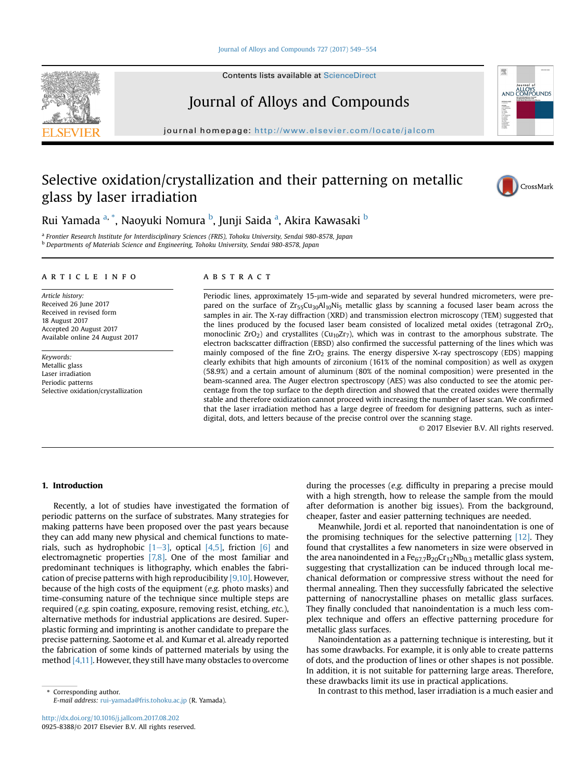#### [Journal of Alloys and Compounds 727 \(2017\) 549](https://doi.org/10.1016/j.jallcom.2017.08.202)-[554](https://doi.org/10.1016/j.jallcom.2017.08.202)

Contents lists available at ScienceDirect

# Journal of Alloys and Compounds

journal homepage: <http://www.elsevier.com/locate/jalcom>

# Selective oxidation/crystallization and their patterning on metallic glass by laser irradiation



ALLOYS

理

**AND** 

Rui Yamada <sup>a, \*</sup>, Naoyuki Nomura <sup>b</sup>, Junji Saida <sup>a</sup>, Akira Kawasaki <sup>b</sup>

<sup>a</sup> Frontier Research Institute for Interdisciplinary Sciences (FRIS), Tohoku University, Sendai 980-8578, Japan <sup>b</sup> Departments of Materials Science and Engineering, Tohoku University, Sendai 980-8578, Japan

#### article info

Article history: Received 26 June 2017 Received in revised form 18 August 2017 Accepted 20 August 2017 Available online 24 August 2017

Keywords: Metallic glass Laser irradiation Periodic patterns Selective oxidation/crystallization

## ABSTRACT

Periodic lines, approximately  $15-\mu m$ -wide and separated by several hundred micrometers, were prepared on the surface of  $Zr_55Cu_3oAl_1oNi_5$  metallic glass by scanning a focused laser beam across the samples in air. The X-ray diffraction (XRD) and transmission electron microscopy (TEM) suggested that the lines produced by the focused laser beam consisted of localized metal oxides (tetragonal ZrO2, monoclinic  $ZrO_2$ ) and crystallites (Cu<sub>10</sub>Zr<sub>7</sub>), which was in contrast to the amorphous substrate. The electron backscatter diffraction (EBSD) also confirmed the successful patterning of the lines which was mainly composed of the fine  $ZrO<sub>2</sub>$  grains. The energy dispersive X-ray spectroscopy (EDS) mapping clearly exhibits that high amounts of zirconium (161% of the nominal composition) as well as oxygen (58.9%) and a certain amount of aluminum (80% of the nominal composition) were presented in the beam-scanned area. The Auger electron spectroscopy (AES) was also conducted to see the atomic percentage from the top surface to the depth direction and showed that the created oxides were thermally stable and therefore oxidization cannot proceed with increasing the number of laser scan. We confirmed that the laser irradiation method has a large degree of freedom for designing patterns, such as interdigital, dots, and letters because of the precise control over the scanning stage.

© 2017 Elsevier B.V. All rights reserved.

### 1. Introduction

Recently, a lot of studies have investigated the formation of periodic patterns on the surface of substrates. Many strategies for making patterns have been proposed over the past years because they can add many new physical and chemical functions to materials, such as hydrophobic  $[1-3]$ , optical  $[4,5]$ , friction  $[6]$  and electromagnetic properties [7,8]. One of the most familiar and predominant techniques is lithography, which enables the fabrication of precise patterns with high reproducibility [9,10]. However, because of the high costs of the equipment (e.g. photo masks) and time-consuming nature of the technique since multiple steps are required (e.g. spin coating, exposure, removing resist, etching, etc.), alternative methods for industrial applications are desired. Superplastic forming and imprinting is another candidate to prepare the precise patterning. Saotome et al. and Kumar et al. already reported the fabrication of some kinds of patterned materials by using the method [4,11]. However, they still have many obstacles to overcome

E-mail address: [rui-yamada@fris.tohoku.ac.jp](mailto:rui-yamada@fris.tohoku.ac.jp) (R. Yamada).

during the processes (e.g. difficulty in preparing a precise mould with a high strength, how to release the sample from the mould after deformation is another big issues). From the background, cheaper, faster and easier patterning techniques are needed.

Meanwhile, Jordi et al. reported that nanoindentation is one of the promising techniques for the selective patterning [12]. They found that crystallites a few nanometers in size were observed in the area nanoindented in a  $Fe_{67.7}B_{20}Cr_{12}Nb_{0.3}$  metallic glass system, suggesting that crystallization can be induced through local mechanical deformation or compressive stress without the need for thermal annealing. Then they successfully fabricated the selective patterning of nanocrystalline phases on metallic glass surfaces. They finally concluded that nanoindentation is a much less complex technique and offers an effective patterning procedure for metallic glass surfaces.

Nanoindentation as a patterning technique is interesting, but it has some drawbacks. For example, it is only able to create patterns of dots, and the production of lines or other shapes is not possible. In addition, it is not suitable for patterning large areas. Therefore, these drawbacks limit its use in practical applications.

\* Corresponding author. In contrast to this method, laser irradiation is a much easier and

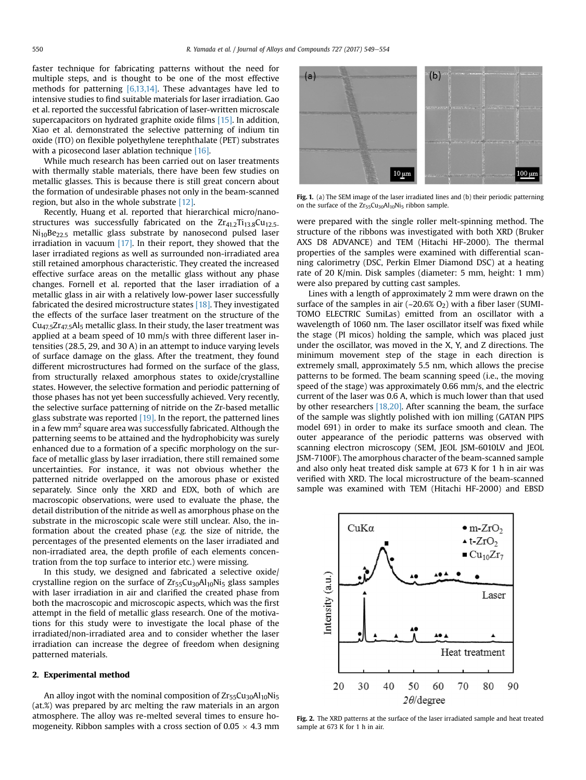faster technique for fabricating patterns without the need for multiple steps, and is thought to be one of the most effective methods for patterning [6,13,14]. These advantages have led to intensive studies to find suitable materials for laser irradiation. Gao et al. reported the successful fabrication of laser-written microscale supercapacitors on hydrated graphite oxide films [15]. In addition, Xiao et al. demonstrated the selective patterning of indium tin oxide (ITO) on flexible polyethylene terephthalate (PET) substrates with a picosecond laser ablation technique [16].

While much research has been carried out on laser treatments with thermally stable materials, there have been few studies on metallic glasses. This is because there is still great concern about the formation of undesirable phases not only in the beam-scanned region, but also in the whole substrate [12].

Recently, Huang et al. reported that hierarchical micro/nanostructures was successfully fabricated on the  $Zr_{41.2}Ti_{13.8}Cu_{12.5-}$  $Ni<sub>10</sub>Be<sub>22.5</sub>$  metallic glass substrate by nanosecond pulsed laser irradiation in vacuum  $[17]$ . In their report, they showed that the laser irradiated regions as well as surrounded non-irradiated area still retained amorphous characteristic. They created the increased effective surface areas on the metallic glass without any phase changes. Fornell et al. reported that the laser irradiation of a metallic glass in air with a relatively low-power laser successfully fabricated the desired microstructure states [18]. They investigated the effects of the surface laser treatment on the structure of the  $Cu<sub>47.5</sub>Zr<sub>47.5</sub>Al<sub>5</sub>$  metallic glass. In their study, the laser treatment was applied at a beam speed of 10 mm/s with three different laser intensities (28.5, 29, and 30 A) in an attempt to induce varying levels of surface damage on the glass. After the treatment, they found different microstructures had formed on the surface of the glass, from structurally relaxed amorphous states to oxide/crystalline states. However, the selective formation and periodic patterning of those phases has not yet been successfully achieved. Very recently, the selective surface patterning of nitride on the Zr-based metallic glass substrate was reported  $[19]$ . In the report, the patterned lines in a few  $mm<sup>2</sup>$  square area was successfully fabricated. Although the patterning seems to be attained and the hydrophobicity was surely enhanced due to a formation of a specific morphology on the surface of metallic glass by laser irradiation, there still remained some uncertainties. For instance, it was not obvious whether the patterned nitride overlapped on the amorous phase or existed separately. Since only the XRD and EDX, both of which are macroscopic observations, were used to evaluate the phase, the detail distribution of the nitride as well as amorphous phase on the substrate in the microscopic scale were still unclear. Also, the information about the created phase (e.g. the size of nitride, the percentages of the presented elements on the laser irradiated and non-irradiated area, the depth profile of each elements concentration from the top surface to interior etc.) were missing.

In this study, we designed and fabricated a selective oxide/ crystalline region on the surface of  $Zr_{55}Cu_{30}Al_{10}Ni_5$  glass samples with laser irradiation in air and clarified the created phase from both the macroscopic and microscopic aspects, which was the first attempt in the field of metallic glass research. One of the motivations for this study were to investigate the local phase of the irradiated/non-irradiated area and to consider whether the laser irradiation can increase the degree of freedom when designing patterned materials.

### 2. Experimental method

An alloy ingot with the nominal composition of  $Zr_{55}Cu_{30}Al_{10}Ni_{5}$ (at.%) was prepared by arc melting the raw materials in an argon atmosphere. The alloy was re-melted several times to ensure homogeneity. Ribbon samples with a cross section of  $0.05 \times 4.3$  mm



Fig. 1. (a) The SEM image of the laser irradiated lines and (b) their periodic patterning on the surface of the Zr<sub>55</sub>Cu<sub>30</sub>Al<sub>10</sub>Ni<sub>5</sub> ribbon sample.

were prepared with the single roller melt-spinning method. The structure of the ribbons was investigated with both XRD (Bruker AXS D8 ADVANCE) and TEM (Hitachi HF-2000). The thermal properties of the samples were examined with differential scanning calorimetry (DSC, Perkin Elmer Diamond DSC) at a heating rate of 20 K/min. Disk samples (diameter: 5 mm, height: 1 mm) were also prepared by cutting cast samples.

Lines with a length of approximately 2 mm were drawn on the surface of the samples in air  $(-20.6\% O_2)$  with a fiber laser (SUMI-TOMO ELECTRIC SumiLas) emitted from an oscillator with a wavelength of 1060 nm. The laser oscillator itself was fixed while the stage (PI micos) holding the sample, which was placed just under the oscillator, was moved in the X, Y, and Z directions. The minimum movement step of the stage in each direction is extremely small, approximately 5.5 nm, which allows the precise patterns to be formed. The beam scanning speed (i.e., the moving speed of the stage) was approximately 0.66 mm/s, and the electric current of the laser was 0.6 A, which is much lower than that used by other researchers [18,20]. After scanning the beam, the surface of the sample was slightly polished with ion milling (GATAN PIPS model 691) in order to make its surface smooth and clean. The outer appearance of the periodic patterns was observed with scanning electron microscopy (SEM, JEOL JSM-6010LV and JEOL JSM-7100F). The amorphous character of the beam-scanned sample and also only heat treated disk sample at 673 K for 1 h in air was verified with XRD. The local microstructure of the beam-scanned sample was examined with TEM (Hitachi HF-2000) and EBSD



Fig. 2. The XRD patterns at the surface of the laser irradiated sample and heat treated sample at 673 K for 1 h in air.